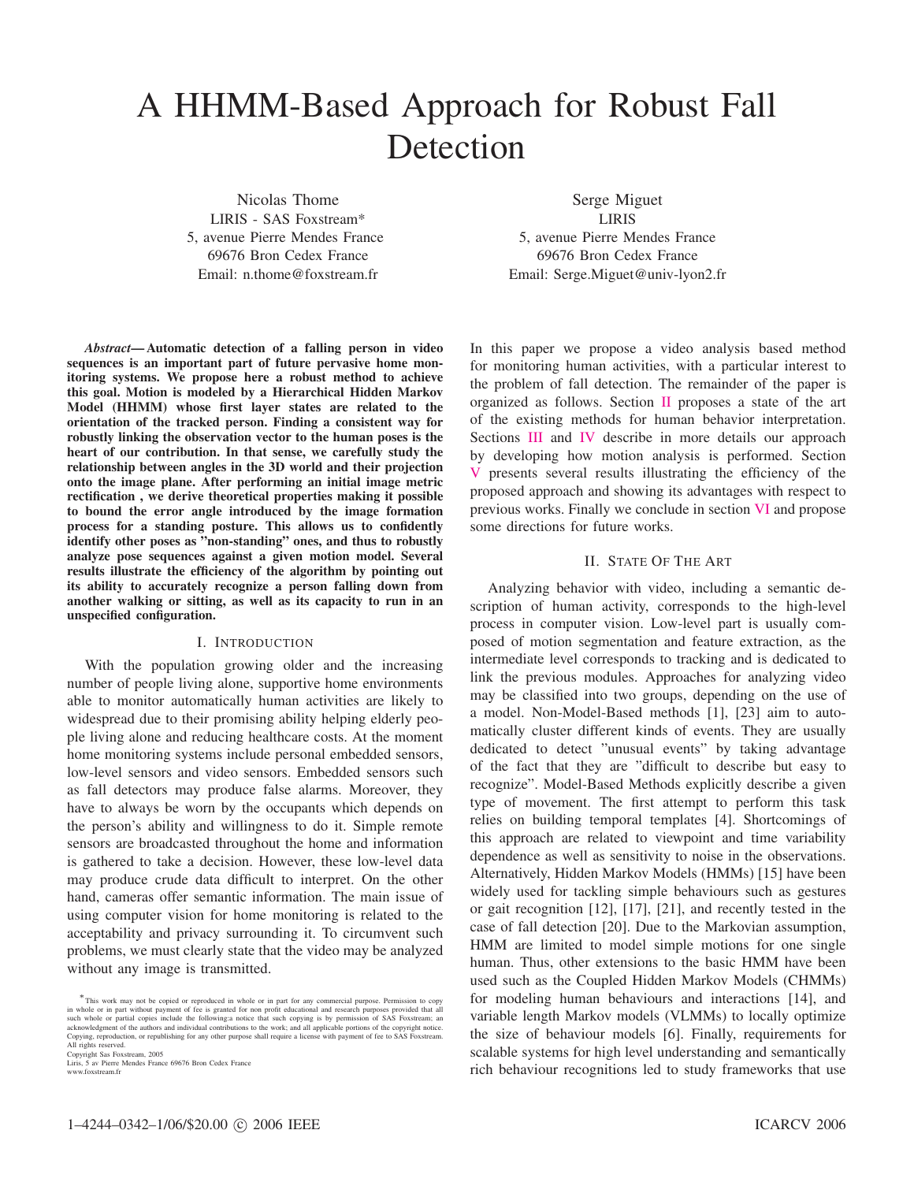# A HHMM-Based Approach for Robust Fall Detection

Nicolas Thome LIRIS - SAS Foxstream\* 5, avenue Pierre Mendes France 69676 Bron Cedex France Email: n.thome@foxstream.fr

*Abstract***— Automatic detection of a falling person in video sequences is an important part of future pervasive home monitoring systems. We propose here a robust method to achieve this goal. Motion is modeled by a Hierarchical Hidden Markov Model (HHMM) whose first layer states are related to the orientation of the tracked person. Finding a consistent way for robustly linking the observation vector to the human poses is the heart of our contribution. In that sense, we carefully study the relationship between angles in the 3D world and their projection onto the image plane. After performing an initial image metric rectification , we derive theoretical properties making it possible to bound the error angle introduced by the image formation process for a standing posture. This allows us to confidently identify other poses as "non-standing" ones, and thus to robustly analyze pose sequences against a given motion model. Several results illustrate the efficiency of the algorithm by pointing out its ability to accurately recognize a person falling down from another walking or sitting, as well as its capacity to run in an unspecified configuration.**

# I. INTRODUCTION

With the population growing older and the increasing number of people living alone, supportive home environments able to monitor automatically human activities are likely to widespread due to their promising ability helping elderly people living alone and reducing healthcare costs. At the moment home monitoring systems include personal embedded sensors, low-level sensors and video sensors. Embedded sensors such as fall detectors may produce false alarms. Moreover, they have to always be worn by the occupants which depends on the person's ability and willingness to do it. Simple remote sensors are broadcasted throughout the home and information is gathered to take a decision. However, these low-level data may produce crude data difficult to interpret. On the other hand, cameras offer semantic information. The main issue of using computer vision for home monitoring is related to the acceptability and privacy surrounding it. To circumvent such problems, we must clearly state that the video may be analyzed without any image is transmitted.

Copyright Sas Foxstream, 2005 Liris, 5 av Pierre Mendes France 69676 Bron Cedex France www.foxstream.fr

Serge Miguet LIRIS 5, avenue Pierre Mendes France 69676 Bron Cedex France Email: Serge.Miguet@univ-lyon2.fr

In this paper we propose a video analysis based method for monitoring human activities, with a particular interest to the problem of fall detection. The remainder of the paper is organized as follows. Section II proposes a state of the art of the existing methods for human behavior interpretation. Sections III and IV describe in more details our approach by developing how motion analysis is performed. Section V presents several results illustrating the efficiency of the proposed approach and showing its advantages with respect to previous works. Finally we conclude in section VI and propose some directions for future works.

## II. STATE OF THE ART

Analyzing behavior with video, including a semantic description of human activity, corresponds to the high-level process in computer vision. Low-level part is usually composed of motion segmentation and feature extraction, as the intermediate level corresponds to tracking and is dedicated to link the previous modules. Approaches for analyzing video may be classified into two groups, depending on the use of a model. Non-Model-Based methods [1], [23] aim to automatically cluster different kinds of events. They are usually dedicated to detect "unusual events" by taking advantage of the fact that they are "difficult to describe but easy to recognize". Model-Based Methods explicitly describe a given type of movement. The first attempt to perform this task relies on building temporal templates [4]. Shortcomings of this approach are related to viewpoint and time variability dependence as well as sensitivity to noise in the observations. Alternatively, Hidden Markov Models (HMMs) [15] have been widely used for tackling simple behaviours such as gestures or gait recognition [12], [17], [21], and recently tested in the case of fall detection [20]. Due to the Markovian assumption, HMM are limited to model simple motions for one single human. Thus, other extensions to the basic HMM have been used such as the Coupled Hidden Markov Models (CHMMs) for modeling human behaviours and interactions [14], and variable length Markov models (VLMMs) to locally optimize the size of behaviour models [6]. Finally, requirements for scalable systems for high level understanding and semantically rich behaviour recognitions led to study frameworks that use

<sup>&</sup>lt;sup>\*</sup> This work may not be copied or reproduced in whole or in part for any commercial purpose. Permission to copy<br>in whole or in part without payment of fee is granted for non profit educational and research purposes provid All rights reserved.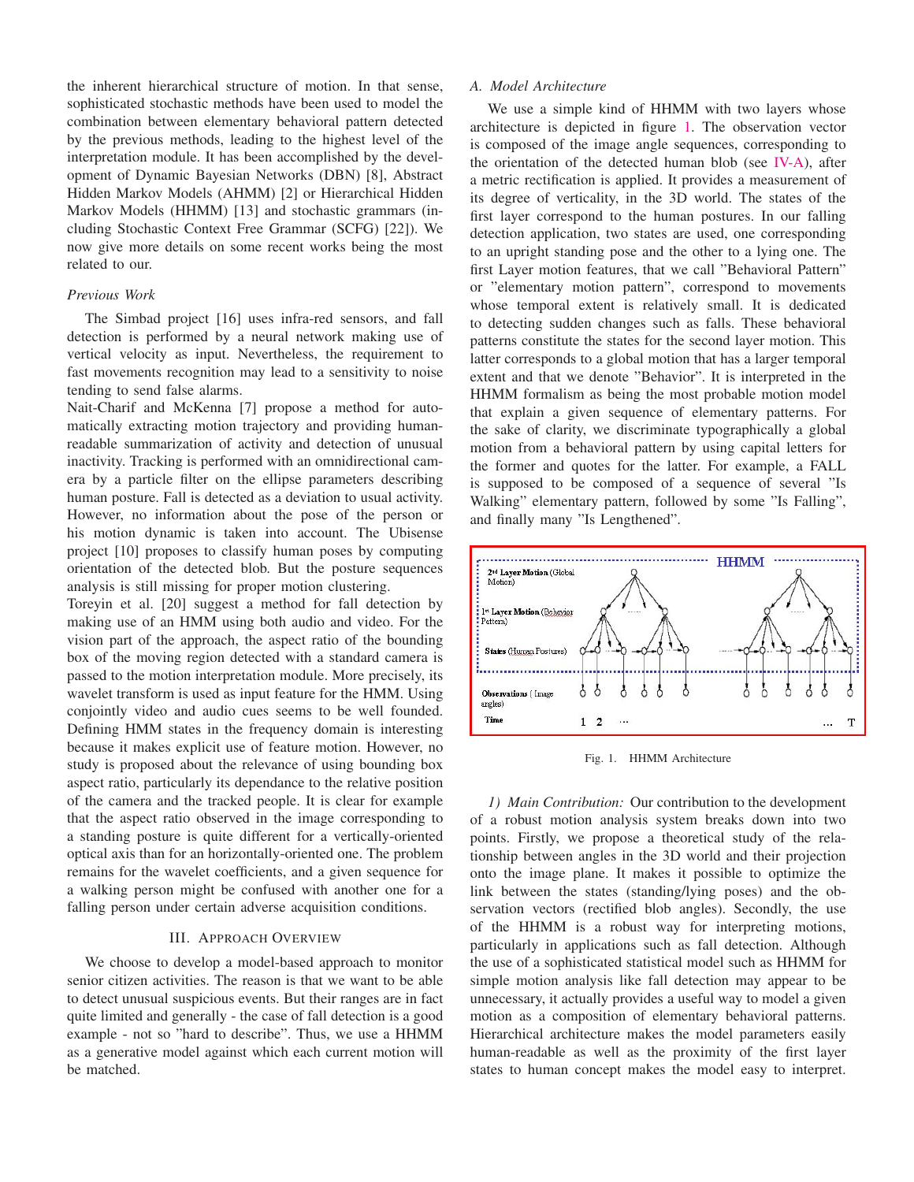the inherent hierarchical structure of motion. In that sense, sophisticated stochastic methods have been used to model the combination between elementary behavioral pattern detected by the previous methods, leading to the highest level of the interpretation module. It has been accomplished by the development of Dynamic Bayesian Networks (DBN) [8], Abstract Hidden Markov Models (AHMM) [2] or Hierarchical Hidden Markov Models (HHMM) [13] and stochastic grammars (including Stochastic Context Free Grammar (SCFG) [22]). We now give more details on some recent works being the most related to our.

# *Previous Work*

The Simbad project [16] uses infra-red sensors, and fall detection is performed by a neural network making use of vertical velocity as input. Nevertheless, the requirement to fast movements recognition may lead to a sensitivity to noise tending to send false alarms.

Nait-Charif and McKenna [7] propose a method for automatically extracting motion trajectory and providing humanreadable summarization of activity and detection of unusual inactivity. Tracking is performed with an omnidirectional camera by a particle filter on the ellipse parameters describing human posture. Fall is detected as a deviation to usual activity. However, no information about the pose of the person or his motion dynamic is taken into account. The Ubisense project [10] proposes to classify human poses by computing orientation of the detected blob. But the posture sequences analysis is still missing for proper motion clustering.

Toreyin et al. [20] suggest a method for fall detection by making use of an HMM using both audio and video. For the vision part of the approach, the aspect ratio of the bounding box of the moving region detected with a standard camera is passed to the motion interpretation module. More precisely, its wavelet transform is used as input feature for the HMM. Using conjointly video and audio cues seems to be well founded. Defining HMM states in the frequency domain is interesting because it makes explicit use of feature motion. However, no study is proposed about the relevance of using bounding box aspect ratio, particularly its dependance to the relative position of the camera and the tracked people. It is clear for example that the aspect ratio observed in the image corresponding to a standing posture is quite different for a vertically-oriented optical axis than for an horizontally-oriented one. The problem remains for the wavelet coefficients, and a given sequence for a walking person might be confused with another one for a falling person under certain adverse acquisition conditions.

## III. APPROACH OVERVIEW

We choose to develop a model-based approach to monitor senior citizen activities. The reason is that we want to be able to detect unusual suspicious events. But their ranges are in fact quite limited and generally - the case of fall detection is a good example - not so "hard to describe". Thus, we use a HHMM as a generative model against which each current motion will be matched.

#### *A. Model Architecture*

We use a simple kind of HHMM with two layers whose architecture is depicted in figure 1. The observation vector is composed of the image angle sequences, corresponding to the orientation of the detected human blob (see IV-A), after a metric rectification is applied. It provides a measurement of its degree of verticality, in the 3D world. The states of the first layer correspond to the human postures. In our falling detection application, two states are used, one corresponding to an upright standing pose and the other to a lying one. The first Layer motion features, that we call "Behavioral Pattern" or "elementary motion pattern", correspond to movements whose temporal extent is relatively small. It is dedicated to detecting sudden changes such as falls. These behavioral patterns constitute the states for the second layer motion. This latter corresponds to a global motion that has a larger temporal extent and that we denote "Behavior". It is interpreted in the HHMM formalism as being the most probable motion model that explain a given sequence of elementary patterns. For the sake of clarity, we discriminate typographically a global motion from a behavioral pattern by using capital letters for the former and quotes for the latter. For example, a FALL is supposed to be composed of a sequence of several "Is Walking" elementary pattern, followed by some "Is Falling", and finally many "Is Lengthened".



Fig. 1. HHMM Architecture

*1) Main Contribution:* Our contribution to the development of a robust motion analysis system breaks down into two points. Firstly, we propose a theoretical study of the relationship between angles in the 3D world and their projection onto the image plane. It makes it possible to optimize the link between the states (standing/lying poses) and the observation vectors (rectified blob angles). Secondly, the use of the HHMM is a robust way for interpreting motions, particularly in applications such as fall detection. Although the use of a sophisticated statistical model such as HHMM for simple motion analysis like fall detection may appear to be unnecessary, it actually provides a useful way to model a given motion as a composition of elementary behavioral patterns. Hierarchical architecture makes the model parameters easily human-readable as well as the proximity of the first layer states to human concept makes the model easy to interpret.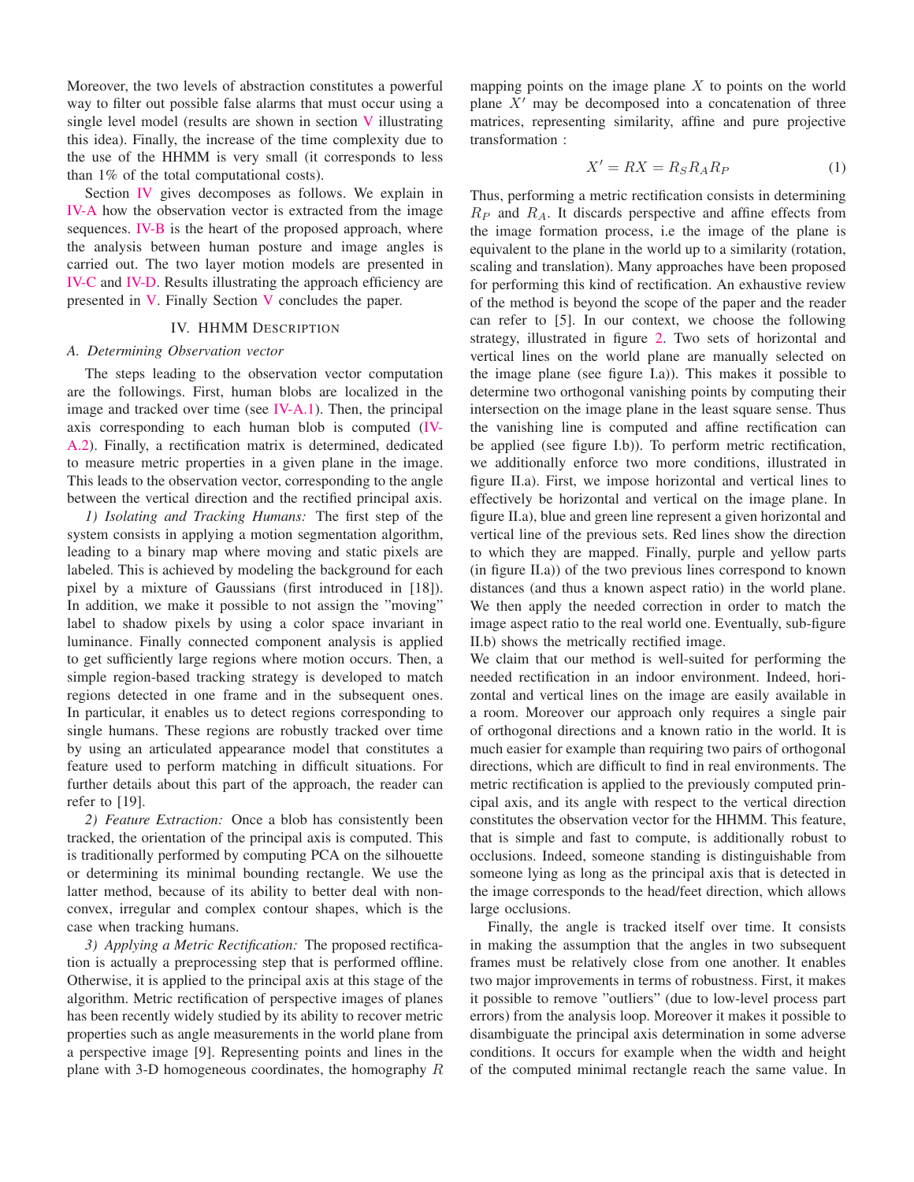Moreover, the two levels of abstraction constitutes a powerful way to filter out possible false alarms that must occur using a single level model (results are shown in section V illustrating this idea). Finally, the increase of the time complexity due to the use of the HHMM is very small (it corresponds to less than 1% of the total computational costs).

Section IV gives decomposes as follows. We explain in IV-A how the observation vector is extracted from the image sequences. IV-B is the heart of the proposed approach, where the analysis between human posture and image angles is carried out. The two layer motion models are presented in IV-C and IV-D. Results illustrating the approach efficiency are presented in V. Finally Section V concludes the paper.

# IV. HHMM DESCRIPTION

#### *A. Determining Observation vector*

The steps leading to the observation vector computation are the followings. First, human blobs are localized in the image and tracked over time (see IV-A.1). Then, the principal axis corresponding to each human blob is computed (IV-A.2). Finally, a rectification matrix is determined, dedicated to measure metric properties in a given plane in the image. This leads to the observation vector, corresponding to the angle between the vertical direction and the rectified principal axis.

*1) Isolating and Tracking Humans:* The first step of the system consists in applying a motion segmentation algorithm, leading to a binary map where moving and static pixels are labeled. This is achieved by modeling the background for each pixel by a mixture of Gaussians (first introduced in [18]). In addition, we make it possible to not assign the "moving" label to shadow pixels by using a color space invariant in luminance. Finally connected component analysis is applied to get sufficiently large regions where motion occurs. Then, a simple region-based tracking strategy is developed to match regions detected in one frame and in the subsequent ones. In particular, it enables us to detect regions corresponding to single humans. These regions are robustly tracked over time by using an articulated appearance model that constitutes a feature used to perform matching in difficult situations. For further details about this part of the approach, the reader can refer to [19].

*2) Feature Extraction:* Once a blob has consistently been tracked, the orientation of the principal axis is computed. This is traditionally performed by computing PCA on the silhouette or determining its minimal bounding rectangle. We use the latter method, because of its ability to better deal with nonconvex, irregular and complex contour shapes, which is the case when tracking humans.

*3) Applying a Metric Rectification:* The proposed rectification is actually a preprocessing step that is performed offline. Otherwise, it is applied to the principal axis at this stage of the algorithm. Metric rectification of perspective images of planes has been recently widely studied by its ability to recover metric properties such as angle measurements in the world plane from a perspective image [9]. Representing points and lines in the plane with 3-D homogeneous coordinates, the homography  $R$  mapping points on the image plane  $X$  to points on the world plane  $X'$  may be decomposed into a concatenation of three matrices, representing similarity, affine and pure projective transformation :

$$
X' = RX = R_S R_A R_P \tag{1}
$$

Thus, performing a metric rectification consists in determining  $R_P$  and  $R_A$ . It discards perspective and affine effects from the image formation process, i.e the image of the plane is equivalent to the plane in the world up to a similarity (rotation, scaling and translation). Many approaches have been proposed for performing this kind of rectification. An exhaustive review of the method is beyond the scope of the paper and the reader can refer to [5]. In our context, we choose the following strategy, illustrated in figure 2. Two sets of horizontal and vertical lines on the world plane are manually selected on the image plane (see figure I.a)). This makes it possible to determine two orthogonal vanishing points by computing their intersection on the image plane in the least square sense. Thus the vanishing line is computed and affine rectification can be applied (see figure I.b)). To perform metric rectification, we additionally enforce two more conditions, illustrated in figure II.a). First, we impose horizontal and vertical lines to effectively be horizontal and vertical on the image plane. In figure II.a), blue and green line represent a given horizontal and vertical line of the previous sets. Red lines show the direction to which they are mapped. Finally, purple and yellow parts (in figure II.a)) of the two previous lines correspond to known distances (and thus a known aspect ratio) in the world plane. We then apply the needed correction in order to match the image aspect ratio to the real world one. Eventually, sub-figure II.b) shows the metrically rectified image.

We claim that our method is well-suited for performing the needed rectification in an indoor environment. Indeed, horizontal and vertical lines on the image are easily available in a room. Moreover our approach only requires a single pair of orthogonal directions and a known ratio in the world. It is much easier for example than requiring two pairs of orthogonal directions, which are difficult to find in real environments. The metric rectification is applied to the previously computed principal axis, and its angle with respect to the vertical direction constitutes the observation vector for the HHMM. This feature, that is simple and fast to compute, is additionally robust to occlusions. Indeed, someone standing is distinguishable from someone lying as long as the principal axis that is detected in the image corresponds to the head/feet direction, which allows large occlusions.

Finally, the angle is tracked itself over time. It consists in making the assumption that the angles in two subsequent frames must be relatively close from one another. It enables two major improvements in terms of robustness. First, it makes it possible to remove "outliers" (due to low-level process part errors) from the analysis loop. Moreover it makes it possible to disambiguate the principal axis determination in some adverse conditions. It occurs for example when the width and height of the computed minimal rectangle reach the same value. In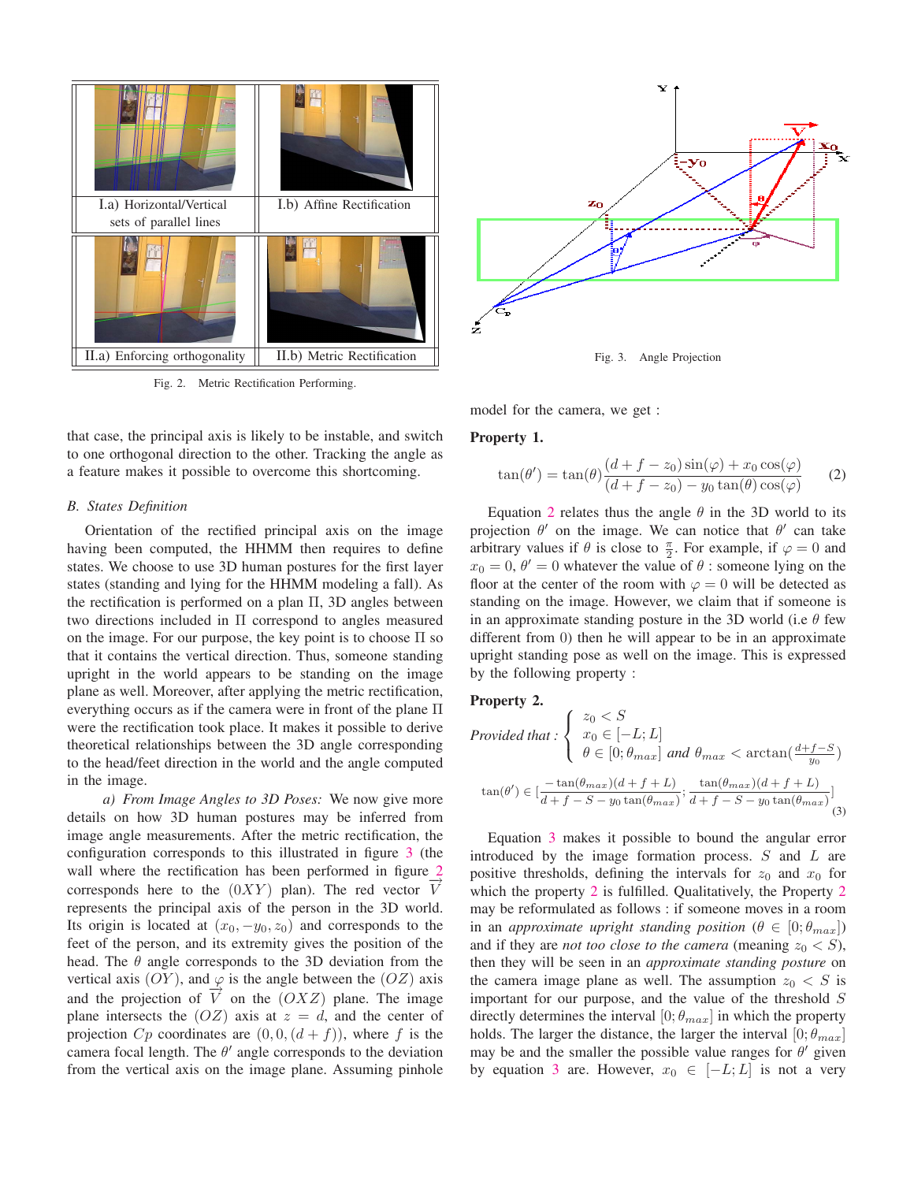

Fig. 2. Metric Rectification Performing.

 $\mathbf{v}_0$ Zo ź Fig. 3. Angle Projection

model for the camera, we get :

**Property 1.**

$$
\tan(\theta') = \tan(\theta) \frac{(d+f-z_0)\sin(\varphi) + x_0\cos(\varphi)}{(d+f-z_0) - y_0\tan(\theta)\cos(\varphi)}
$$
 (2)

Equation 2 relates thus the angle  $\theta$  in the 3D world to its projection  $\theta'$  on the image. We can notice that  $\theta'$  can take arbitrary values if  $\theta$  is close to  $\frac{\pi}{2}$ . For example, if  $\varphi = 0$  and  $x_0 = 0$ ,  $\theta' = 0$  whatever the value of  $\theta$  : someone lying on the floor at the center of the room with  $\varphi = 0$  will be detected as standing on the image. However, we claim that if someone is in an approximate standing posture in the 3D world (i.e  $\theta$  few different from 0) then he will appear to be in an approximate upright standing pose as well on the image. This is expressed by the following property :

**Property 2.**

$$
Provided that: \begin{cases} z_0 < S \\ x_0 \in [-L; L] \\ \theta \in [0; \theta_{max}] \text{ and } \theta_{max} < \arctan(\frac{d+f-S}{y_0}) \end{cases}
$$

$$
\tan(\theta') \in [\frac{-\tan(\theta_{max})(d+f+L)}{d+f-S-y_0 \tan(\theta_{max})}; \frac{\tan(\theta_{max})(d+f+L)}{d+f-S-y_0 \tan(\theta_{max})}]
$$
(3)

Equation 3 makes it possible to bound the angular error introduced by the image formation process. S and L are positive thresholds, defining the intervals for  $z_0$  and  $x_0$  for which the property 2 is fulfilled. Qualitatively, the Property 2 may be reformulated as follows : if someone moves in a room in an *approximate upright standing position*  $(\theta \in [0; \theta_{max}])$ and if they are *not too close to the camera* (meaning  $z_0 < S$ ), then they will be seen in an *approximate standing posture* on the camera image plane as well. The assumption  $z_0 < S$  is important for our purpose, and the value of the threshold S directly determines the interval  $[0; \theta_{max}]$  in which the property holds. The larger the distance, the larger the interval  $[0; \theta_{max}]$ may be and the smaller the possible value ranges for  $\theta'$  given by equation 3 are. However,  $x_0 \in [-L, L]$  is not a very

that case, the principal axis is likely to be instable, and switch to one orthogonal direction to the other. Tracking the angle as a feature makes it possible to overcome this shortcoming.

#### *B. States Definition*

Orientation of the rectified principal axis on the image having been computed, the HHMM then requires to define states. We choose to use 3D human postures for the first layer states (standing and lying for the HHMM modeling a fall). As the rectification is performed on a plan Π, 3D angles between two directions included in Π correspond to angles measured on the image. For our purpose, the key point is to choose  $\Pi$  so that it contains the vertical direction. Thus, someone standing upright in the world appears to be standing on the image plane as well. Moreover, after applying the metric rectification, everything occurs as if the camera were in front of the plane Π were the rectification took place. It makes it possible to derive theoretical relationships between the 3D angle corresponding to the head/feet direction in the world and the angle computed in the image.

*a) From Image Angles to 3D Poses:* We now give more details on how 3D human postures may be inferred from image angle measurements. After the metric rectification, the configuration corresponds to this illustrated in figure 3 (the wall where the rectification has been performed in figure 2 corresponds here to the  $(0XY)$  plan). The red vector  $\overrightarrow{V}$ represents the principal axis of the person in the 3D world. Its origin is located at  $(x_0, -y_0, z_0)$  and corresponds to the feet of the person, and its extremity gives the position of the head. The  $\theta$  angle corresponds to the 3D deviation from the vertical axis  $(OY)$ , and  $\varphi$  is the angle between the  $(OZ)$  axis and the projection of  $\overrightarrow{V}$  on the  $(OXZ)$  plane. The image plane intersects the  $(OZ)$  axis at  $z = d$ , and the center of projection  $C_p$  coordinates are  $(0, 0, (d + f))$ , where f is the camera focal length. The  $\theta'$  angle corresponds to the deviation from the vertical axis on the image plane. Assuming pinhole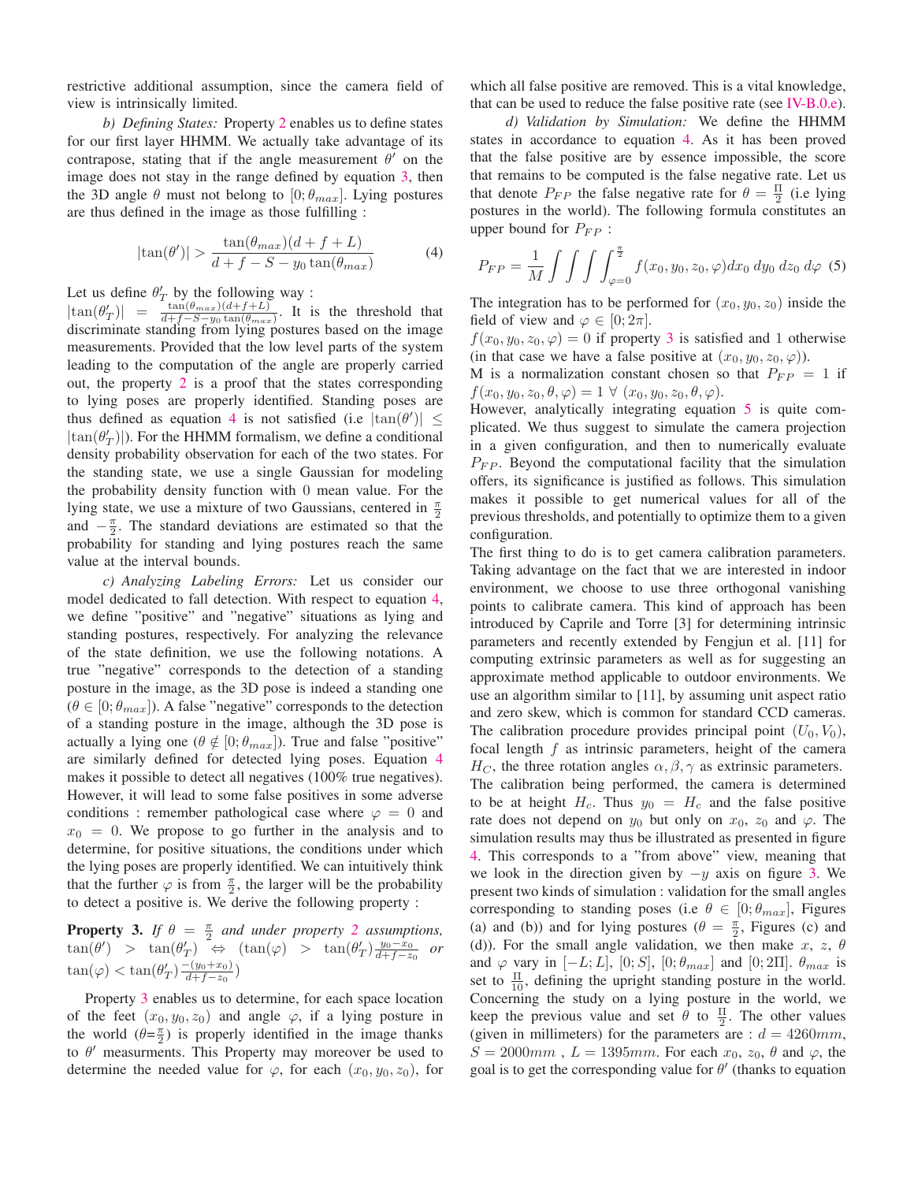restrictive additional assumption, since the camera field of view is intrinsically limited.

*b) Defining States:* Property 2 enables us to define states for our first layer HHMM. We actually take advantage of its contrapose, stating that if the angle measurement  $\theta'$  on the image does not stay in the range defined by equation 3, then the 3D angle  $\theta$  must not belong to  $[0; \theta_{max}]$ . Lying postures are thus defined in the image as those fulfilling :

$$
|\tan(\theta')| > \frac{\tan(\theta_{max})(d+f+L)}{d+f-S-y_0\tan(\theta_{max})}
$$
(4)

Let us define  $\theta'_T$  by the following way :

 $|\tan(\theta'_T)| = \frac{\tan(\theta_{max})(d+f+L)}{d+f-S-y_0 \tan(\theta_{max})}$ . It is the threshold that discriminate standing from lying postures based on the image measurements. Provided that the low level parts of the system leading to the computation of the angle are properly carried out, the property 2 is a proof that the states corresponding to lying poses are properly identified. Standing poses are thus defined as equation 4 is not satisfied (i.e  $|\tan(\theta')| \le$  $|\mathrm{tan}(\theta_T')|$  ). For the HHMM formalism, we define a conditional density probability observation for each of the two states. For the standing state, we use a single Gaussian for modeling the probability density function with 0 mean value. For the lying state, we use a mixture of two Gaussians, centered in  $\frac{\pi}{2}$ and  $-\frac{\pi}{2}$ . The standard deviations are estimated so that the probability for standing and lying postures reach the same value at the interval bounds.

*c) Analyzing Labeling Errors:* Let us consider our model dedicated to fall detection. With respect to equation 4, we define "positive" and "negative" situations as lying and standing postures, respectively. For analyzing the relevance of the state definition, we use the following notations. A true "negative" corresponds to the detection of a standing posture in the image, as the 3D pose is indeed a standing one  $(\theta \in [0; \theta_{max}])$ . A false "negative" corresponds to the detection of a standing posture in the image, although the 3D pose is actually a lying one ( $\theta \notin [0; \theta_{max}]$ ). True and false "positive" are similarly defined for detected lying poses. Equation 4 makes it possible to detect all negatives (100% true negatives). However, it will lead to some false positives in some adverse conditions : remember pathological case where  $\varphi = 0$  and  $x_0 = 0$ . We propose to go further in the analysis and to determine, for positive situations, the conditions under which the lying poses are properly identified. We can intuitively think that the further  $\varphi$  is from  $\frac{\pi}{2}$ , the larger will be the probability to detect a positive is. We derive the following property :

**Property 3.** *If*  $\theta = \frac{\pi}{2}$  *and under property 2 assumptions,*  $\tan(\theta')$  >  $\tan(\theta'_T) \stackrel{2}{\Leftrightarrow} (\tan(\varphi) \stackrel{1}{\sim} \tan(\theta'_T) \frac{y_0 - x_0}{d + f - z_0}$  *or*  $\tan(\varphi) < \tan(\theta'_T) \frac{-(y_0+x_0)}{d+f-z_0}$ 

Property 3 enables us to determine, for each space location of the feet  $(x_0, y_0, z_0)$  and angle  $\varphi$ , if a lying posture in the world  $(\theta = \frac{\pi}{2})$  is properly identified in the image thanks to  $\theta'$  measurments. This Property may moreover be used to determine the needed value for  $\varphi$ , for each  $(x_0, y_0, z_0)$ , for which all false positive are removed. This is a vital knowledge, that can be used to reduce the false positive rate (see IV-B.0.e).

*d) Validation by Simulation:* We define the HHMM states in accordance to equation 4. As it has been proved that the false positive are by essence impossible, the score that remains to be computed is the false negative rate. Let us that denote  $P_{FP}$  the false negative rate for  $\theta = \frac{\Pi}{2}$  (i.e lying postures in the world). The following formula constitutes an upper bound for  $P_{FP}$ :

$$
P_{FP} = \frac{1}{M} \int \int \int \int_{\varphi=0}^{\frac{\pi}{2}} f(x_0, y_0, z_0, \varphi) dx_0 \, dy_0 \, dz_0 \, d\varphi \tag{5}
$$

The integration has to be performed for  $(x_0, y_0, z_0)$  inside the field of view and  $\varphi \in [0; 2\pi]$ .

 $f(x_0, y_0, z_0, \varphi) = 0$  if property 3 is satisfied and 1 otherwise (in that case we have a false positive at  $(x_0, y_0, z_0, \varphi)$ ).

M is a normalization constant chosen so that  $P_{FP} = 1$  if  $f(x_0, y_0, z_0, \theta, \varphi)=1 \ \forall \ (x_0, y_0, z_0, \theta, \varphi).$ 

However, analytically integrating equation 5 is quite complicated. We thus suggest to simulate the camera projection in a given configuration, and then to numerically evaluate  $P_{FP}$ . Beyond the computational facility that the simulation offers, its significance is justified as follows. This simulation makes it possible to get numerical values for all of the previous thresholds, and potentially to optimize them to a given configuration.

The first thing to do is to get camera calibration parameters. Taking advantage on the fact that we are interested in indoor environment, we choose to use three orthogonal vanishing points to calibrate camera. This kind of approach has been introduced by Caprile and Torre [3] for determining intrinsic parameters and recently extended by Fengjun et al. [11] for computing extrinsic parameters as well as for suggesting an approximate method applicable to outdoor environments. We use an algorithm similar to [11], by assuming unit aspect ratio and zero skew, which is common for standard CCD cameras. The calibration procedure provides principal point  $(U_0, V_0)$ , focal length  $f$  as intrinsic parameters, height of the camera  $H_C$ , the three rotation angles  $\alpha, \beta, \gamma$  as extrinsic parameters. The calibration being performed, the camera is determined to be at height  $H_c$ . Thus  $y_0 = H_c$  and the false positive rate does not depend on  $y_0$  but only on  $x_0$ ,  $z_0$  and  $\varphi$ . The simulation results may thus be illustrated as presented in figure 4. This corresponds to a "from above" view, meaning that we look in the direction given by  $-y$  axis on figure 3. We present two kinds of simulation : validation for the small angles corresponding to standing poses (i.e  $\theta \in [0; \theta_{max}]$ , Figures (a) and (b)) and for lying postures ( $\theta = \frac{\pi}{2}$ , Figures (c) and (d)). For the small angle validation, we then make  $x, z, \theta$ and  $\varphi$  vary in  $[-L;L]$ ,  $[0;S]$ ,  $[0;\theta_{max}]$  and  $[0;2\Pi]$ .  $\theta_{max}$  is set to  $\frac{\Pi}{10}$ , defining the upright standing posture in the world. Concerning the study on a lying posture in the world, we keep the previous value and set  $\hat{\theta}$  to  $\frac{\Pi}{2}$ . The other values (given in millimeters) for the parameters are :  $d = 4260 mm$ ,  $S = 2000mm$ ,  $L = 1395mm$ . For each  $x_0$ ,  $z_0$ ,  $\theta$  and  $\varphi$ , the goal is to get the corresponding value for  $\theta'$  (thanks to equation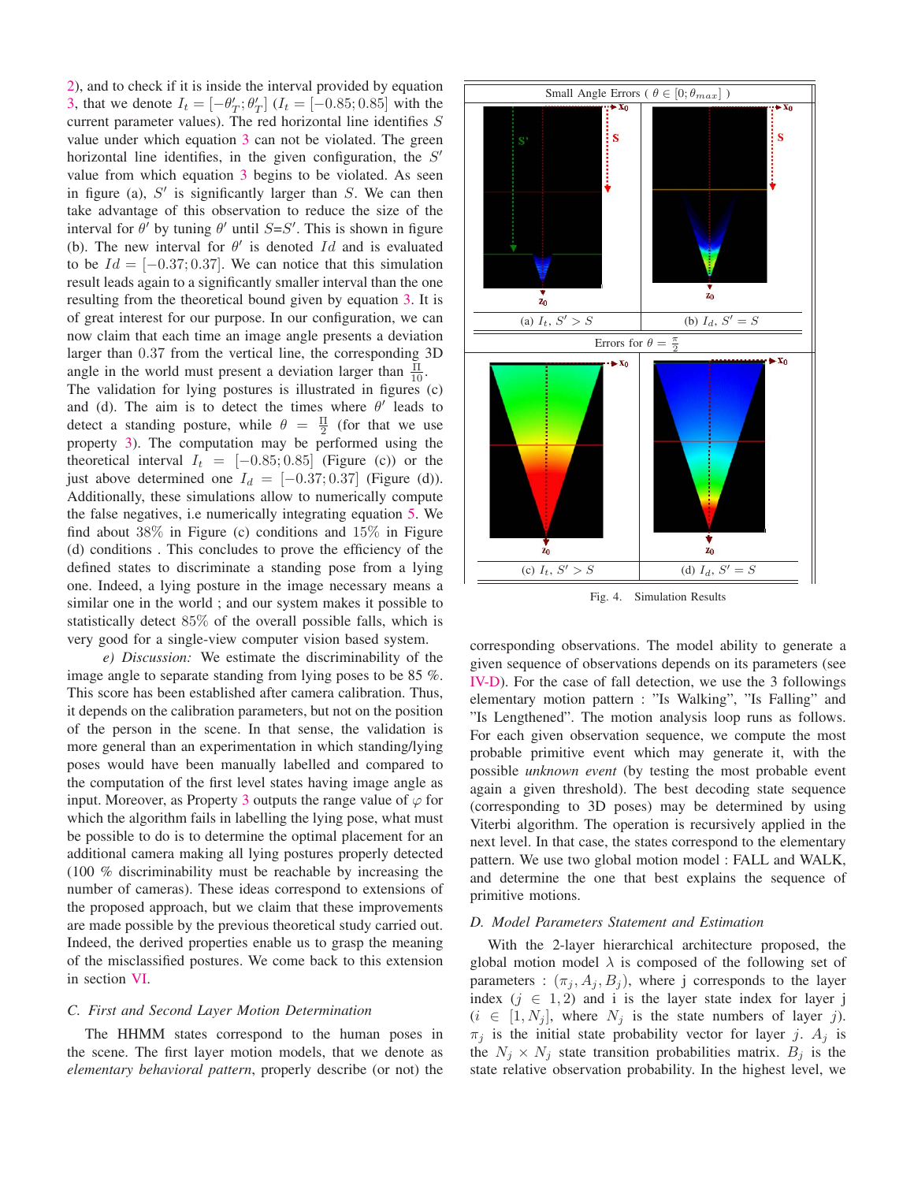2), and to check if it is inside the interval provided by equation 3, that we denote  $I_t = [-\theta'_T; \theta'_T]$   $(I_t = [-0.85; 0.85]$  with the current parameter values). The red horizontal line identifies  $S$ value under which equation 3 can not be violated. The green horizontal line identifies, in the given configuration, the  $S'$ value from which equation 3 begins to be violated. As seen in figure (a),  $S'$  is significantly larger than S. We can then take advantage of this observation to reduce the size of the interval for  $\theta'$  by tuning  $\theta'$  until  $S=S'$ . This is shown in figure (b). The new interval for  $\theta'$  is denoted Id and is evaluated to be  $Id = [-0.37; 0.37]$ . We can notice that this simulation result leads again to a significantly smaller interval than the one resulting from the theoretical bound given by equation 3. It is of great interest for our purpose. In our configuration, we can now claim that each time an image angle presents a deviation larger than 0.37 from the vertical line, the corresponding 3D angle in the world must present a deviation larger than  $\frac{\Pi}{10}$ .

The validation for lying postures is illustrated in figures (c) and (d). The aim is to detect the times where  $\theta'$  leads to detect a standing posture, while  $\theta = \frac{\Pi}{2}$  (for that we use property 3). The computation may be performed using the theoretical interval  $I_t = [-0.85; 0.85]$  (Figure (c)) or the just above determined one  $I_d = [-0.37; 0.37]$  (Figure (d)). Additionally, these simulations allow to numerically compute the false negatives, i.e numerically integrating equation 5. We find about 38% in Figure (c) conditions and 15% in Figure (d) conditions . This concludes to prove the efficiency of the defined states to discriminate a standing pose from a lying one. Indeed, a lying posture in the image necessary means a similar one in the world ; and our system makes it possible to statistically detect 85% of the overall possible falls, which is very good for a single-view computer vision based system.

*e) Discussion:* We estimate the discriminability of the image angle to separate standing from lying poses to be 85 %. This score has been established after camera calibration. Thus, it depends on the calibration parameters, but not on the position of the person in the scene. In that sense, the validation is more general than an experimentation in which standing/lying poses would have been manually labelled and compared to the computation of the first level states having image angle as input. Moreover, as Property 3 outputs the range value of  $\varphi$  for which the algorithm fails in labelling the lying pose, what must be possible to do is to determine the optimal placement for an additional camera making all lying postures properly detected (100 % discriminability must be reachable by increasing the number of cameras). These ideas correspond to extensions of the proposed approach, but we claim that these improvements are made possible by the previous theoretical study carried out. Indeed, the derived properties enable us to grasp the meaning of the misclassified postures. We come back to this extension in section VI.

#### *C. First and Second Layer Motion Determination*

The HHMM states correspond to the human poses in the scene. The first layer motion models, that we denote as *elementary behavioral pattern*, properly describe (or not) the



Fig. 4. Simulation Results

corresponding observations. The model ability to generate a given sequence of observations depends on its parameters (see IV-D). For the case of fall detection, we use the 3 followings elementary motion pattern : "Is Walking", "Is Falling" and "Is Lengthened". The motion analysis loop runs as follows. For each given observation sequence, we compute the most probable primitive event which may generate it, with the possible *unknown event* (by testing the most probable event again a given threshold). The best decoding state sequence (corresponding to 3D poses) may be determined by using Viterbi algorithm. The operation is recursively applied in the next level. In that case, the states correspond to the elementary pattern. We use two global motion model : FALL and WALK, and determine the one that best explains the sequence of primitive motions.

## *D. Model Parameters Statement and Estimation*

With the 2-layer hierarchical architecture proposed, the global motion model  $\lambda$  is composed of the following set of parameters :  $(\pi_i, A_i, B_i)$ , where j corresponds to the layer index  $(j \in 1, 2)$  and i is the layer state index for layer j  $(i \in [1, N_j],$  where  $N_j$  is the state numbers of layer j).  $\pi_j$  is the initial state probability vector for layer j.  $A_j$  is the  $N_j \times N_j$  state transition probabilities matrix.  $B_j$  is the state relative observation probability. In the highest level, we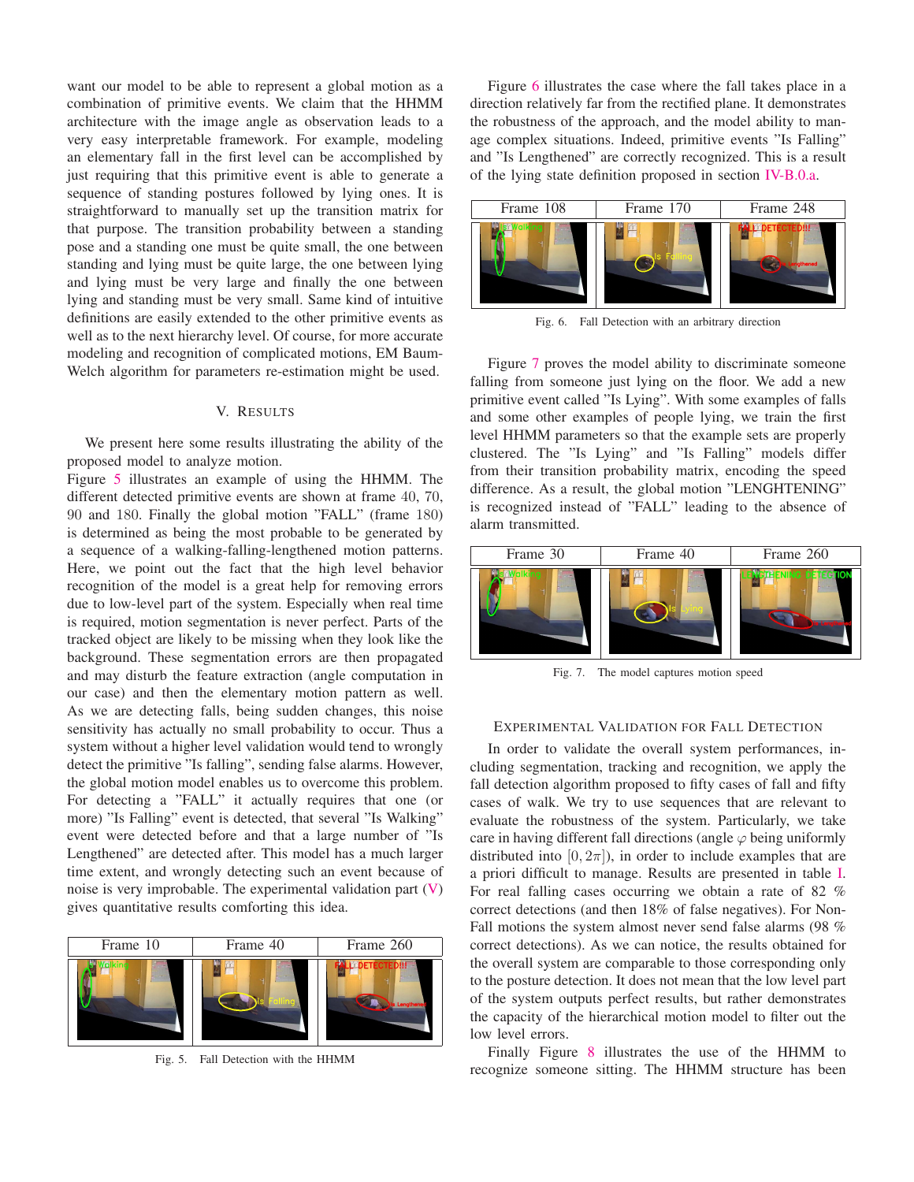want our model to be able to represent a global motion as a combination of primitive events. We claim that the HHMM architecture with the image angle as observation leads to a very easy interpretable framework. For example, modeling an elementary fall in the first level can be accomplished by just requiring that this primitive event is able to generate a sequence of standing postures followed by lying ones. It is straightforward to manually set up the transition matrix for that purpose. The transition probability between a standing pose and a standing one must be quite small, the one between standing and lying must be quite large, the one between lying and lying must be very large and finally the one between lying and standing must be very small. Same kind of intuitive definitions are easily extended to the other primitive events as well as to the next hierarchy level. Of course, for more accurate modeling and recognition of complicated motions, EM Baum-Welch algorithm for parameters re-estimation might be used.

# V. RESULTS

We present here some results illustrating the ability of the proposed model to analyze motion.

Figure 5 illustrates an example of using the HHMM. The different detected primitive events are shown at frame 40, 70, 90 and 180. Finally the global motion "FALL" (frame 180) is determined as being the most probable to be generated by a sequence of a walking-falling-lengthened motion patterns. Here, we point out the fact that the high level behavior recognition of the model is a great help for removing errors due to low-level part of the system. Especially when real time is required, motion segmentation is never perfect. Parts of the tracked object are likely to be missing when they look like the background. These segmentation errors are then propagated and may disturb the feature extraction (angle computation in our case) and then the elementary motion pattern as well. As we are detecting falls, being sudden changes, this noise sensitivity has actually no small probability to occur. Thus a system without a higher level validation would tend to wrongly detect the primitive "Is falling", sending false alarms. However, the global motion model enables us to overcome this problem. For detecting a "FALL" it actually requires that one (or more) "Is Falling" event is detected, that several "Is Walking" event were detected before and that a large number of "Is Lengthened" are detected after. This model has a much larger time extent, and wrongly detecting such an event because of noise is very improbable. The experimental validation part  $(V)$ gives quantitative results comforting this idea.



Fig. 5. Fall Detection with the HHMM

Figure 6 illustrates the case where the fall takes place in a direction relatively far from the rectified plane. It demonstrates the robustness of the approach, and the model ability to manage complex situations. Indeed, primitive events "Is Falling" and "Is Lengthened" are correctly recognized. This is a result of the lying state definition proposed in section IV-B.0.a.



Fig. 6. Fall Detection with an arbitrary direction

Figure 7 proves the model ability to discriminate someone falling from someone just lying on the floor. We add a new primitive event called "Is Lying". With some examples of falls and some other examples of people lying, we train the first level HHMM parameters so that the example sets are properly clustered. The "Is Lying" and "Is Falling" models differ from their transition probability matrix, encoding the speed difference. As a result, the global motion "LENGHTENING" is recognized instead of "FALL" leading to the absence of alarm transmitted.



Fig. 7. The model captures motion speed

# EXPERIMENTAL VALIDATION FOR FALL DETECTION

In order to validate the overall system performances, including segmentation, tracking and recognition, we apply the fall detection algorithm proposed to fifty cases of fall and fifty cases of walk. We try to use sequences that are relevant to evaluate the robustness of the system. Particularly, we take care in having different fall directions (angle  $\varphi$  being uniformly distributed into  $[0, 2\pi]$ , in order to include examples that are a priori difficult to manage. Results are presented in table I. For real falling cases occurring we obtain a rate of 82 % correct detections (and then 18% of false negatives). For Non-Fall motions the system almost never send false alarms (98 % correct detections). As we can notice, the results obtained for the overall system are comparable to those corresponding only to the posture detection. It does not mean that the low level part of the system outputs perfect results, but rather demonstrates the capacity of the hierarchical motion model to filter out the low level errors.

Finally Figure 8 illustrates the use of the HHMM to recognize someone sitting. The HHMM structure has been